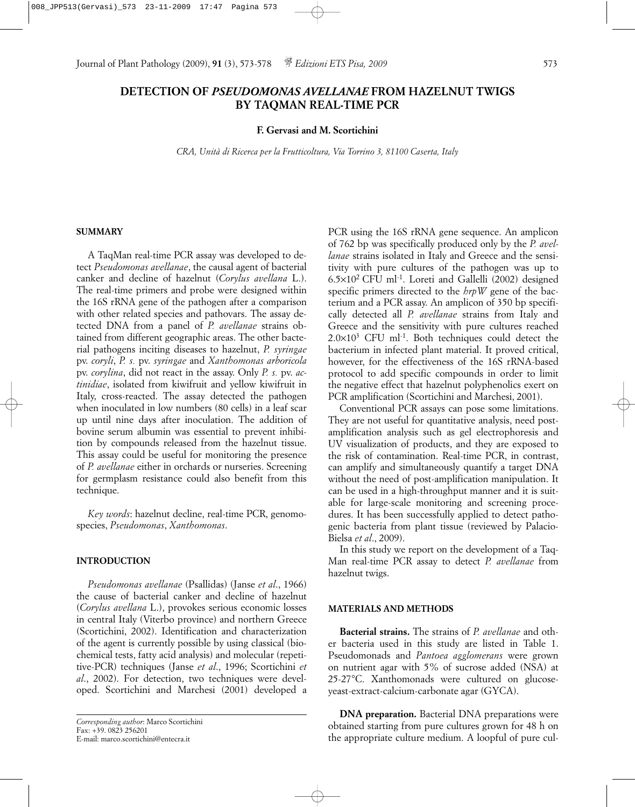# **DETECTION OF** *PSEUDOMONAS AVELLANAE* **FROM HAZELNUT TWIGS BY TAQMAN REAL-TIME PCR**

# **F. Gervasi and M. Scortichini**

*CRA, Unità di Ricerca per la Frutticoltura, Via Torrino 3, 81100 Caserta, Italy*

## **SUMMARY**

A TaqMan real-time PCR assay was developed to detect *Pseudomonas avellanae*, the causal agent of bacterial canker and decline of hazelnut (*Corylus avellana* L.). The real-time primers and probe were designed within the 16S rRNA gene of the pathogen after a comparison with other related species and pathovars. The assay detected DNA from a panel of *P. avellanae* strains obtained from different geographic areas. The other bacterial pathogens inciting diseases to hazelnut, *P. syringae* pv. *coryli*, *P. s.* pv. *syringae* and *Xanthomonas arboricola* pv. *corylina*, did not react in the assay. Only *P. s.* pv. *actinidiae*, isolated from kiwifruit and yellow kiwifruit in Italy, cross-reacted. The assay detected the pathogen when inoculated in low numbers (80 cells) in a leaf scar up until nine days after inoculation. The addition of bovine serum albumin was essential to prevent inhibition by compounds released from the hazelnut tissue. This assay could be useful for monitoring the presence of *P. avellanae* either in orchards or nurseries. Screening for germplasm resistance could also benefit from this technique.

*Key words*: hazelnut decline, real-time PCR, genomospecies, *Pseudomonas*, *Xanthomonas*.

## **INTRODUCTION**

*Pseudomonas avellanae* (Psallidas) (Janse *et al*., 1966) the cause of bacterial canker and decline of hazelnut (*Corylus avellana* L.), provokes serious economic losses in central Italy (Viterbo province) and northern Greece (Scortichini, 2002). Identification and characterization of the agent is currently possible by using classical (biochemical tests, fatty acid analysis) and molecular (repetitive-PCR) techniques (Janse *et al*., 1996; Scortichini *et al*., 2002). For detection, two techniques were developed. Scortichini and Marchesi (2001) developed a

PCR using the 16S rRNA gene sequence. An amplicon of 762 bp was specifically produced only by the *P. avellanae* strains isolated in Italy and Greece and the sensitivity with pure cultures of the pathogen was up to 6.5×102 CFU ml-1. Loreti and Gallelli (2002) designed specific primers directed to the *hrpW* gene of the bacterium and a PCR assay. An amplicon of 350 bp specifically detected all *P. avellanae* strains from Italy and Greece and the sensitivity with pure cultures reached  $2.0\times10^{3}$  CFU ml<sup>-1</sup>. Both techniques could detect the bacterium in infected plant material. It proved critical, however, for the effectiveness of the 16S rRNA-based protocol to add specific compounds in order to limit the negative effect that hazelnut polyphenolics exert on PCR amplification (Scortichini and Marchesi, 2001).

Conventional PCR assays can pose some limitations. They are not useful for quantitative analysis, need postamplification analysis such as gel electrophoresis and UV visualization of products, and they are exposed to the risk of contamination. Real-time PCR, in contrast, can amplify and simultaneously quantify a target DNA without the need of post-amplification manipulation. It can be used in a high-throughput manner and it is suitable for large-scale monitoring and screening procedures. It has been successfully applied to detect pathogenic bacteria from plant tissue (reviewed by Palacio-Bielsa *et al*., 2009).

In this study we report on the development of a Taq-Man real-time PCR assay to detect *P. avellanae* from hazelnut twigs.

# **MATERIALS AND METHODS**

**Bacterial strains.** The strains of *P. avellanae* and other bacteria used in this study are listed in Table 1. Pseudomonads and *Pantoea agglomerans* were grown on nutrient agar with 5% of sucrose added (NSA) at 25-27°C. Xanthomonads were cultured on glucoseyeast-extract-calcium-carbonate agar (GYCA).

**DNA** preparation. Bacterial DNA preparations were obtained starting from pure cultures grown for 48 h on the appropriate culture medium. A loopful of pure cul-

*Corresponding author*: Marco Scortichini Fax: +39. 0823 256201 E-mail: marco.scortichini@entecra.it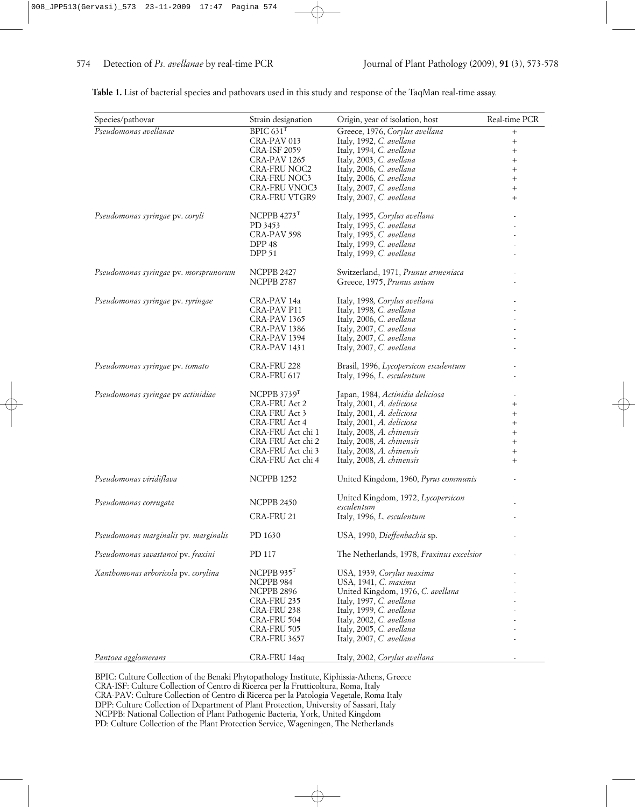| Species/pathovar                      | Strain designation        | Origin, year of isolation, host           | Real-time PCR |
|---------------------------------------|---------------------------|-------------------------------------------|---------------|
| Pseudomonas avellanae                 | BPIC $631$ <sup>T</sup>   | Greece, 1976, Corylus avellana            | $^{+}$        |
|                                       | CRA-PAV 013               | Italy, 1992, C. avellana                  | $^{+}$        |
|                                       | <b>CRA-ISF 2059</b>       | Italy, 1994, C. avellana                  | $^{+}$        |
|                                       | CRA-PAV 1265              | Italy, 2003, C. avellana                  | $^{+}$        |
|                                       | <b>CRA-FRU NOC2</b>       | Italy, 2006, C. avellana                  | $^{+}$        |
|                                       | <b>CRA-FRU NOC3</b>       | Italy, 2006, C. avellana                  | $^{+}$        |
|                                       | <b>CRA-FRU VNOC3</b>      | Italy, 2007, C. avellana                  | $^{+}$        |
|                                       | <b>CRA-FRU VTGR9</b>      | Italy, 2007, C. avellana                  | $^{+}$        |
| Pseudomonas syringae pv. coryli       | NCPPB $4273$ <sup>T</sup> | Italy, 1995, Corylus avellana             |               |
|                                       | PD 3453                   | Italy, 1995, C. avellana                  |               |
|                                       | CRA-PAV 598               | Italy, 1995, C. avellana                  |               |
|                                       | DPP 48                    | Italy, 1999, C. avellana                  |               |
|                                       | <b>DPP 51</b>             | Italy, 1999, C. avellana                  |               |
| Pseudomonas syringae pv. morsprunorum | <b>NCPPB 2427</b>         | Switzerland, 1971, Prunus armeniaca       |               |
|                                       | <b>NCPPB 2787</b>         | Greece, 1975, Prunus avium                |               |
|                                       |                           |                                           |               |
| Pseudomonas syringae pv. syringae     | CRA-PAV 14a               | Italy, 1998, Corylus avellana             |               |
|                                       | CRA-PAV P11               | Italy, 1998, C. avellana                  |               |
|                                       | CRA-PAV 1365              | Italy, 2006, C. avellana                  |               |
|                                       | <b>CRA-PAV 1386</b>       | Italy, 2007, C. avellana                  |               |
|                                       | CRA-PAV 1394              | Italy, 2007, C. avellana                  |               |
|                                       | <b>CRA-PAV 1431</b>       | Italy, 2007, C. avellana                  |               |
| Pseudomonas syringae pv. tomato       | CRA-FRU 228               | Brasil, 1996, Lycopersicon esculentum     |               |
|                                       | CRA-FRU 617               | Italy, 1996, L. esculentum                |               |
|                                       |                           |                                           |               |
| Pseudomonas syringae pv actinidiae    | NCPPB 3739 <sup>T</sup>   | Japan, 1984, Actinidia deliciosa          |               |
|                                       | <b>CRA-FRU Act 2</b>      | Italy, 2001, A. deliciosa                 | $^{+}$        |
|                                       | CRA-FRU Act 3             | Italy, 2001, A. deliciosa                 | $^{+}$        |
|                                       | <b>CRA-FRU Act 4</b>      | Italy, 2001, A. deliciosa                 | $^{+}$        |
|                                       | CRA-FRU Act chi 1         | Italy, 2008, A. chinensis                 | $^{+}$        |
|                                       | CRA-FRU Act chi 2         | Italy, 2008, A. chinensis                 | $^{+}$        |
|                                       | CRA-FRU Act chi 3         | Italy, 2008, A. chinensis                 | $^{+}$        |
|                                       | CRA-FRU Act chi 4         | Italy, 2008, A. chinensis                 | $^{+}$        |
| Pseudomonas viridiflava               | <b>NCPPB 1252</b>         | United Kingdom, 1960, Pyrus communis      |               |
|                                       |                           | United Kingdom, 1972, Lycopersicon        |               |
| Pseudomonas corrugata                 | <b>NCPPB 2450</b>         | esculentum                                |               |
|                                       | CRA-FRU 21                | Italy, 1996, L. esculentum                |               |
| Pseudomonas marginalis pv. marginalis | PD 1630                   | USA, 1990, Dieffenbachia sp.              |               |
| Pseudomonas savastanoi pv. fraxini    | PD 117                    | The Netherlands, 1978, Fraxinus excelsior |               |
| Xanthomonas arboricola pv. corylina   | NCPPB $935T$              | USA, 1939, Corylus maxima                 |               |
|                                       | NCPPB 984                 | USA, 1941, C. maxima                      |               |
|                                       | NCPPB 2896                | United Kingdom, 1976, C. avellana         |               |
|                                       | CRA-FRU 235               | Italy, 1997, C. avellana                  |               |
|                                       | CRA-FRU 238               | Italy, 1999, C. avellana                  |               |
|                                       | CRA-FRU 504               | Italy, 2002, C. avellana                  |               |
|                                       | CRA-FRU 505               | Italy, 2005, C. avellana                  |               |
|                                       |                           |                                           |               |
|                                       | <b>CRA-FRU 3657</b>       | Italy, 2007, C. avellana                  |               |
| Pantoea agglomerans                   | CRA-FRU 14aq              | Italy, 2002, Corylus avellana             |               |

**Table 1.** List of bacterial species and pathovars used in this study and response of the TaqMan real-time assay.

BPIC: Culture Collection of the Benaki Phytopathology Institute, Kiphissia-Athens, Greece CRA-ISF: Culture Collection of Centro di Ricerca per la Frutticoltura, Roma, Italy CRA-PAV: Culture Collection of Centro di Ricerca per la Patologia Vegetale, Roma Italy DPP: Culture Collection of Department of Plant Protection, University of Sassari, Italy NCPPB: National Collection of Plant Pathogenic Bacteria, York, United Kingdom PD: Culture Collection of the Plant Protection Service, Wageningen, The Netherlands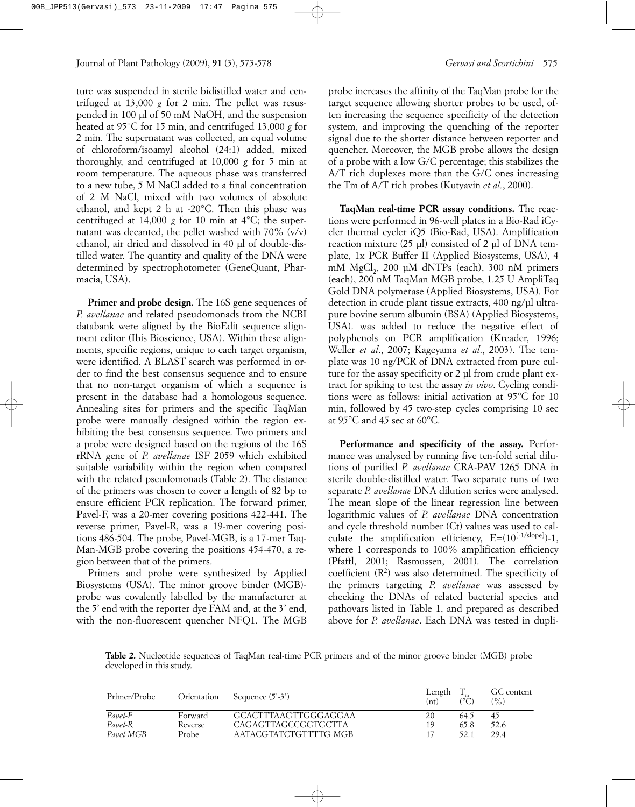ture was suspended in sterile bidistilled water and centrifuged at 13,000 *g* for 2 min. The pellet was resuspended in 100 µl of 50 mM NaOH, and the suspension heated at 95°C for 15 min, and centrifuged 13,000 *g* for 2 min. The supernatant was collected, an equal volume of chloroform/isoamyl alcohol (24:1) added, mixed thoroughly, and centrifuged at 10,000 *g* for 5 min at room temperature. The aqueous phase was transferred to a new tube, 5 M NaCl added to a final concentration of 2 M NaCl, mixed with two volumes of absolute ethanol, and kept 2 h at -20°C. Then this phase was centrifuged at 14,000 *g* for 10 min at 4°C; the supernatant was decanted, the pellet washed with 70% (v/v) ethanol, air dried and dissolved in 40 µl of double-distilled water. The quantity and quality of the DNA were determined by spectrophotometer (GeneQuant, Pharmacia, USA).

**Primer and probe design.** The 16S gene sequences of *P. avellanae* and related pseudomonads from the NCBI databank were aligned by the BioEdit sequence alignment editor (Ibis Bioscience, USA). Within these alignments, specific regions, unique to each target organism, were identified. A BLAST search was performed in order to find the best consensus sequence and to ensure that no non-target organism of which a sequence is present in the database had a homologous sequence. Annealing sites for primers and the specific TaqMan probe were manually designed within the region exhibiting the best consensus sequence. Two primers and a probe were designed based on the regions of the 16S rRNA gene of *P. avellanae* ISF 2059 which exhibited suitable variability within the region when compared with the related pseudomonads (Table 2). The distance of the primers was chosen to cover a length of 82 bp to ensure efficient PCR replication. The forward primer, Pavel-F, was a 20-mer covering positions 422-441. The reverse primer, Pavel-R, was a 19-mer covering positions 486-504. The probe, Pavel-MGB, is a 17-mer Taq-Man-MGB probe covering the positions 454-470, a region between that of the primers.

Primers and probe were synthesized by Applied Biosystems (USA). The minor groove binder (MGB) probe was covalently labelled by the manufacturer at the 5' end with the reporter dye FAM and, at the 3' end, with the non-fluorescent quencher NFQ1. The MGB

probe increases the affinity of the TaqMan probe for the target sequence allowing shorter probes to be used, often increasing the sequence specificity of the detection system, and improving the quenching of the reporter signal due to the shorter distance between reporter and quencher. Moreover, the MGB probe allows the design of a probe with a low G/C percentage; this stabilizes the A/T rich duplexes more than the G/C ones increasing the Tm of A/T rich probes (Kutyavin *et al.*, 2000).

**TaqMan real-time PCR assay conditions.** The reactions were performed in 96-well plates in a Bio-Rad iCycler thermal cycler iQ5 (Bio-Rad, USA). Amplification reaction mixture  $(25 \text{ µ})$  consisted of 2  $\text{µ}$  of DNA template, 1x PCR Buffer II (Applied Biosystems, USA), 4 mM  $MgCl<sub>2</sub>$ , 200 µM dNTPs (each), 300 nM primers (each), 200 nM TaqMan MGB probe, 1.25 U AmpliTaq Gold DNA polymerase (Applied Biosystems, USA). For detection in crude plant tissue extracts, 400 ng/µl ultrapure bovine serum albumin (BSA) (Applied Biosystems, USA). was added to reduce the negative effect of polyphenols on PCR amplification (Kreader, 1996; Weller *et al*., 2007; Kageyama *et al*., 2003). The template was 10 ng/PCR of DNA extracted from pure culture for the assay specificity or 2 µl from crude plant extract for spiking to test the assay *in vivo*. Cycling conditions were as follows: initial activation at 95°C for 10 min, followed by 45 two-step cycles comprising 10 sec at 95°C and 45 sec at 60°C.

**Performance and specificity of the assay.** Performance was analysed by running five ten-fold serial dilutions of purified *P. avellanae* CRA-PAV 1265 DNA in sterile double-distilled water. Two separate runs of two separate *P. avellanae* DNA dilution series were analysed. The mean slope of the linear regression line between logarithmic values of *P. avellanae* DNA concentration and cycle threshold number (Ct) values was used to calculate the amplification efficiency, E=(10<sup>[-1/slope]</sup>)-1, where 1 corresponds to 100% amplification efficiency (Pfaffl, 2001; Rasmussen, 2001). The correlation coefficient  $(R^2)$  was also determined. The specificity of the primers targeting *P. avellanae* was assessed by checking the DNAs of related bacterial species and pathovars listed in Table 1, and prepared as described above for *P. avellanae*. Each DNA was tested in dupli-

**Table 2.** Nucleotide sequences of TaqMan real-time PCR primers and of the minor groove binder (MGB) probe developed in this study.

| Primer/Probe | Orientation | Sequence $(5'-3')$         | Length<br>(nt) | (°C  | GC content<br>(%) |
|--------------|-------------|----------------------------|----------------|------|-------------------|
| Pavel-F      | Forward     | GCACTTTAAGTTGGGAGGAA       | 20             | 64.5 | 45                |
| Pavel-R      | Reverse     | <b>CAGAGTTAGCCGGTGCTTA</b> | 19             | 65.8 | 52.6              |
| Pavel-MGB    | Probe       | AATACGTATCTGTTTTG-MGB      |                | 52.1 | 29.4              |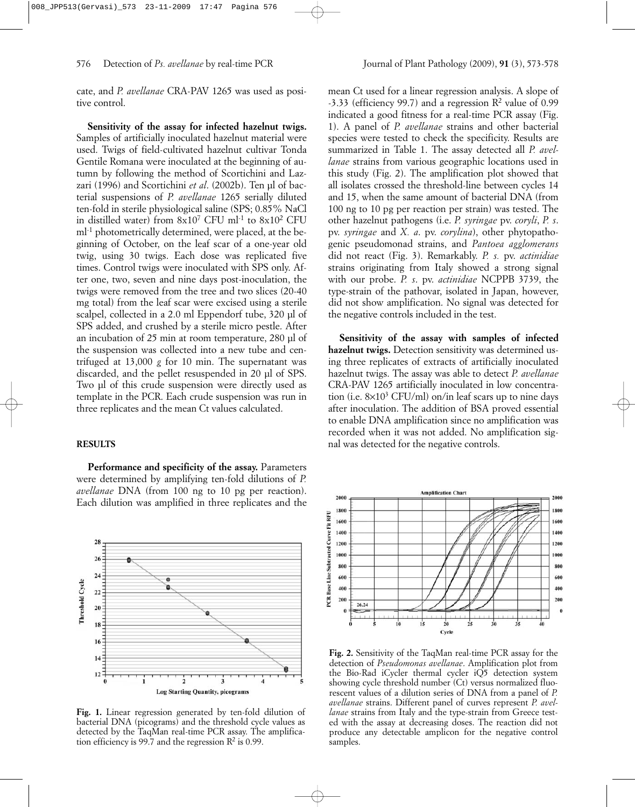cate, and *P. avellanae* CRA-PAV 1265 was used as positive control.

**Sensitivity of the assay for infected hazelnut twigs.** Samples of artificially inoculated hazelnut material were used. Twigs of field-cultivated hazelnut cultivar Tonda Gentile Romana were inoculated at the beginning of autumn by following the method of Scortichini and Lazzari (1996) and Scortichini *et al.* (2002b). Ten ul of bacterial suspensions of *P. avellanae* 1265 serially diluted ten-fold in sterile physiological saline (SPS; 0.85% NaCl in distilled water) from  $8x10^7$  CFU ml<sup>-1</sup> to  $8x10^2$  CFU ml<sup>-1</sup> photometrically determined, were placed, at the beginning of October, on the leaf scar of a one-year old twig, using 30 twigs. Each dose was replicated five times. Control twigs were inoculated with SPS only. After one, two, seven and nine days post-inoculation, the twigs were removed from the tree and two slices (20-40 mg total) from the leaf scar were excised using a sterile scalpel, collected in a 2.0 ml Eppendorf tube, 320 µl of SPS added, and crushed by a sterile micro pestle. After an incubation of 25 min at room temperature, 280 µl of the suspension was collected into a new tube and centrifuged at 13,000 *g* for 10 min. The supernatant was discarded, and the pellet resuspended in 20 µl of SPS. Two µl of this crude suspension were directly used as template in the PCR. Each crude suspension was run in three replicates and the mean Ct values calculated.

## **RESULTS**

**Performance and specificity of the assay.** Parameters were determined by amplifying ten-fold dilutions of *P. avellanae* DNA (from 100 ng to 10 pg per reaction). Each dilution was amplified in three replicates and the



**Fig. 1.** Linear regression generated by ten-fold dilution of bacterial DNA (picograms) and the threshold cycle values as detected by the TaqMan real-time PCR assay. The amplification efficiency is 99.7 and the regression  $\mathbb{R}^2$  is 0.99.

mean Ct used for a linear regression analysis. A slope of  $-3.33$  (efficiency 99.7) and a regression  $\mathbb{R}^2$  value of 0.99 indicated a good fitness for a real-time PCR assay (Fig. 1). A panel of *P. avellanae* strains and other bacterial species were tested to check the specificity. Results are summarized in Table 1. The assay detected all *P. avellanae* strains from various geographic locations used in this study (Fig. 2). The amplification plot showed that all isolates crossed the threshold-line between cycles 14 and 15, when the same amount of bacterial DNA (from 100 ng to 10 pg per reaction per strain) was tested. The other hazelnut pathogens (i.e. *P. syringae* pv. *coryli*, *P. s*. pv. *syringae* and *X. a*. pv. *corylina*), other phytopathogenic pseudomonad strains, and *Pantoea agglomerans* did not react (Fig. 3). Remarkably. *P. s.* pv. *actinidiae* strains originating from Italy showed a strong signal with our probe. *P. s*. pv. *actinidiae* NCPPB 3739, the type-strain of the pathovar, isolated in Japan, however, did not show amplification. No signal was detected for the negative controls included in the test.

**Sensitivity of the assay with samples of infected hazelnut twigs.** Detection sensitivity was determined using three replicates of extracts of artificially inoculated hazelnut twigs. The assay was able to detect *P. avellanae* CRA-PAV 1265 artificially inoculated in low concentration (i.e.  $8\times10^3$  CFU/ml) on/in leaf scars up to nine days after inoculation. The addition of BSA proved essential to enable DNA amplification since no amplification was recorded when it was not added. No amplification signal was detected for the negative controls.



**Fig. 2.** Sensitivity of the TaqMan real-time PCR assay for the detection of *Pseudomonas avellanae*. Amplification plot from the Bio-Rad iCycler thermal cycler iQ5 detection system showing cycle threshold number (Ct) versus normalized fluorescent values of a dilution series of DNA from a panel of *P. avellanae* strains. Different panel of curves represent *P. avellanae* strains from Italy and the type-strain from Greece tested with the assay at decreasing doses. The reaction did not produce any detectable amplicon for the negative control samples.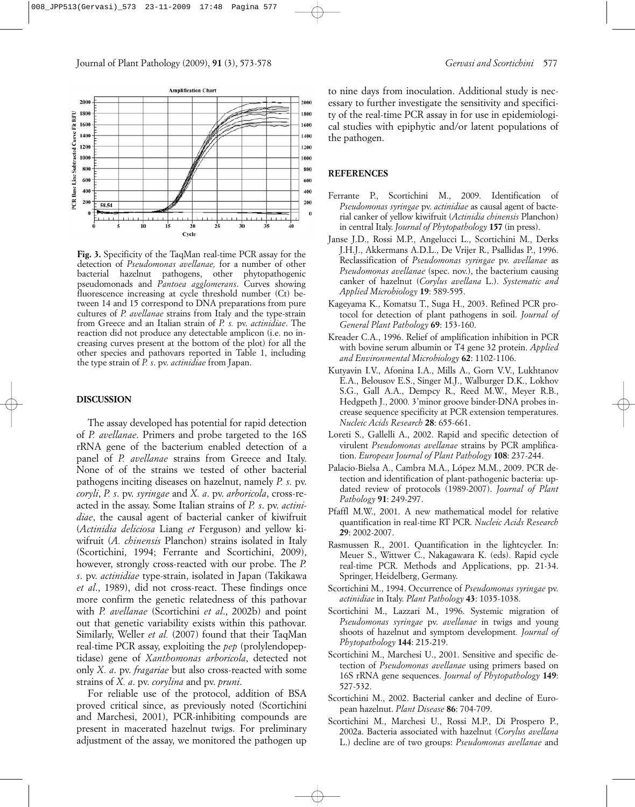

**Fig. 3.** Specificity of the TaqMan real-time PCR assay for the detection of *Pseudomonas avellanae,* for a number of other bacterial hazelnut pathogens, other phytopathogenic pseudomonads and *Pantoea agglomerans*. Curves showing fluorescence increasing at cycle threshold number (Ct) between 14 and 15 correspond to DNA preparations from pure cultures of *P. avellanae* strains from Italy and the type-strain from Greece and an Italian strain of *P. s.* pv. *actinidiae*. The reaction did not produce any detectable amplicon (i.e. no increasing curves present at the bottom of the plot) for all the other species and pathovars reported in Table 1, including the type strain of *P. s*. pv. *actinidiae* from Japan.

#### **DISCUSSION**

The assay developed has potential for rapid detection of *P. avellanae*. Primers and probe targeted to the 16S rRNA gene of the bacterium enabled detection of a panel of *P. avellanae* strains from Greece and Italy. None of of the strains we tested of other bacterial pathogens inciting diseases on hazelnut, namely *P. s.* pv. *coryli*, *P. s*. pv. *syringae* and *X. a*. pv. *arboricola*, cross-reacted in the assay. Some Italian strains of *P. s*. pv. *actinidiae*, the causal agent of bacterial canker of kiwifruit (*Actinidia deliciosa* Liang *et* Ferguson) and yellow kiwifruit (*A. chinensis* Planchon) strains isolated in Italy (Scortichini, 1994; Ferrante and Scortichini, 2009), however, strongly cross-reacted with our probe. The *P. s*. pv. *actinidiae* type-strain, isolated in Japan (Takikawa *et al*., 1989), did not cross-react. These findings once more confirm the genetic relatedness of this pathovar with *P. avellanae* (Scortichini *et al*., 2002b) and point out that genetic variability exists within this pathovar. Similarly, Weller *et al.* (2007) found that their TaqMan real-time PCR assay, exploiting the *pep* (prolylendopeptidase) gene of *Xanthomonas arboricola*, detected not only *X. a*. pv. *fragariae* but also cross-reacted with some strains of *X. a*. pv. *corylina* and pv. *pruni*.

For reliable use of the protocol, addition of BSA proved critical since, as previously noted (Scortichini and Marchesi, 2001), PCR-inhibiting compounds are present in macerated hazelnut twigs. For preliminary adjustment of the assay, we monitored the pathogen up

to nine days from inoculation. Additional study is necessary to further investigate the sensitivity and specificity of the real-time PCR assay in for use in epidemiological studies with epiphytic and/or latent populations of the pathogen.

#### **REFERENCES**

- Ferrante P., Scortichini M., 2009. Identification of *Pseudomonas syringae* pv. *actinidiae* as causal agent of bacterial canker of yellow kiwifruit (*Actinidia chinensis* Planchon) in central Italy. *Journal of Phytopathology* **157** (in press).
- Janse J.D., Rossi M.P., Angelucci L., Scortichini M., Derks J.H.J., Akkermans A.D.L., De Vrijer R., Psallidas P., 1996. Reclassification of *Pseudomonas syringae* pv. *avellanae* as *Pseudomonas avellanae* (spec. nov.), the bacterium causing canker of hazelnut (*Corylus avellana* L.). *Systematic and Applied Microbiology* **19**: 589-595.
- Kageyama K., Komatsu T., Suga H., 2003. Refined PCR protocol for detection of plant pathogens in soil. *Journal of General Plant Pathology* **69**: 153-160.
- Kreader C.A., 1996. Relief of amplification inhibition in PCR with bovine serum albumin or T4 gene 32 protein. *Applied and Environmental Microbiology* **62**: 1102-1106.
- Kutyavin I.V., Afonina I.A., Mills A., Gorn V.V., Lukhtanov E.A., Belousov E.S., Singer M.J., Walburger D.K., Lokhov S.G., Gall A.A., Dempcy R., Reed M.W., Meyer R.B., Hedgpeth J., 2000. 3'minor groove binder-DNA probes increase sequence specificity at PCR extension temperatures. *Nucleic Acids Research* **28**: 655-661.
- Loreti S., Gallelli A., 2002. Rapid and specific detection of virulent *Pseudomonas avellanae* strains by PCR amplification. *European Journal of Plant Pathology* **108**: 237-244.
- Palacio-Bielsa A., Cambra M.A., López M.M., 2009. PCR detection and identification of plant-pathogenic bacteria: updated review of protocols (1989-2007). *Journal of Plant Pathology* **91**: 249-297.
- Pfaffl M.W., 2001. A new mathematical model for relative quantification in real-time RT PCR. *Nucleic Acids Research* **29**: 2002-2007.
- Rasmussen R., 2001. Quantification in the lightcycler. In: Meuer S., Wittwer C., Nakagawara K. (eds). Rapid cycle real-time PCR. Methods and Applications, pp. 21-34. Springer, Heidelberg, Germany.
- Scortichini M., 1994. Occurrence of *Pseudomonas syringae* pv. *actinidiae* in Italy. *Plant Pathology* **43**: 1035-1038.
- Scortichini M., Lazzari M., 1996. Systemic migration of *Pseudomonas syringae* pv. *avellanae* in twigs and young shoots of hazelnut and symptom development*. Journal of Phytopathology* **144**: 215-219.
- Scortichini M., Marchesi U., 2001. Sensitive and specific detection of *Pseudomonas avellanae* using primers based on 16S rRNA gene sequences. *Journal of Phytopathology* **149**: 527-532.
- Scortichini M., 2002. Bacterial canker and decline of European hazelnut. *Plant Disease* **86**: 704-709.
- Scortichini M., Marchesi U., Rossi M.P., Di Prospero P., 2002a. Bacteria associated with hazelnut (*Corylus avellana* L.) decline are of two groups: *Pseudomonas avellanae* and